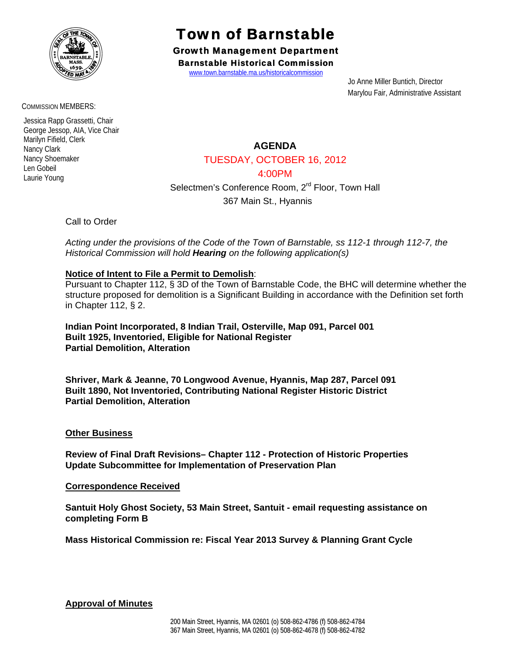

COMMISSION MEMBERS:

 Jessica Rapp Grassetti, Chair George Jessop, AIA, Vice Chair Marilyn Fifield, Clerk Nancy Clark Nancy Shoemaker Len Gobeil Laurie Young

# Town of Barnstable

Growth Management Department Barnstable Historical Commission

www.town.barnstable.ma.us/historicalcommission

 Jo Anne Miller Buntich, Director Marylou Fair, Administrative Assistant

**AGENDA** 

TUESDAY, OCTOBER 16, 2012

4:00PM

Selectmen's Conference Room, 2<sup>rd</sup> Floor, Town Hall

367 Main St., Hyannis

Call to Order

*Acting under the provisions of the Code of the Town of Barnstable, ss 112-1 through 112-7, the Historical Commission will hold Hearing on the following application(s)* 

# **Notice of Intent to File a Permit to Demolish**:

Pursuant to Chapter 112, § 3D of the Town of Barnstable Code, the BHC will determine whether the structure proposed for demolition is a Significant Building in accordance with the Definition set forth in Chapter 112, § 2.

**Indian Point Incorporated, 8 Indian Trail, Osterville, Map 091, Parcel 001 Built 1925, Inventoried, Eligible for National Register Partial Demolition, Alteration** 

**Shriver, Mark & Jeanne, 70 Longwood Avenue, Hyannis, Map 287, Parcel 091 Built 1890, Not Inventoried, Contributing National Register Historic District Partial Demolition, Alteration** 

# **Other Business**

**Review of Final Draft Revisions– Chapter 112 - Protection of Historic Properties Update Subcommittee for Implementation of Preservation Plan** 

#### **Correspondence Received**

**Santuit Holy Ghost Society, 53 Main Street, Santuit - email requesting assistance on completing Form B** 

**Mass Historical Commission re: Fiscal Year 2013 Survey & Planning Grant Cycle** 

**Approval of Minutes**